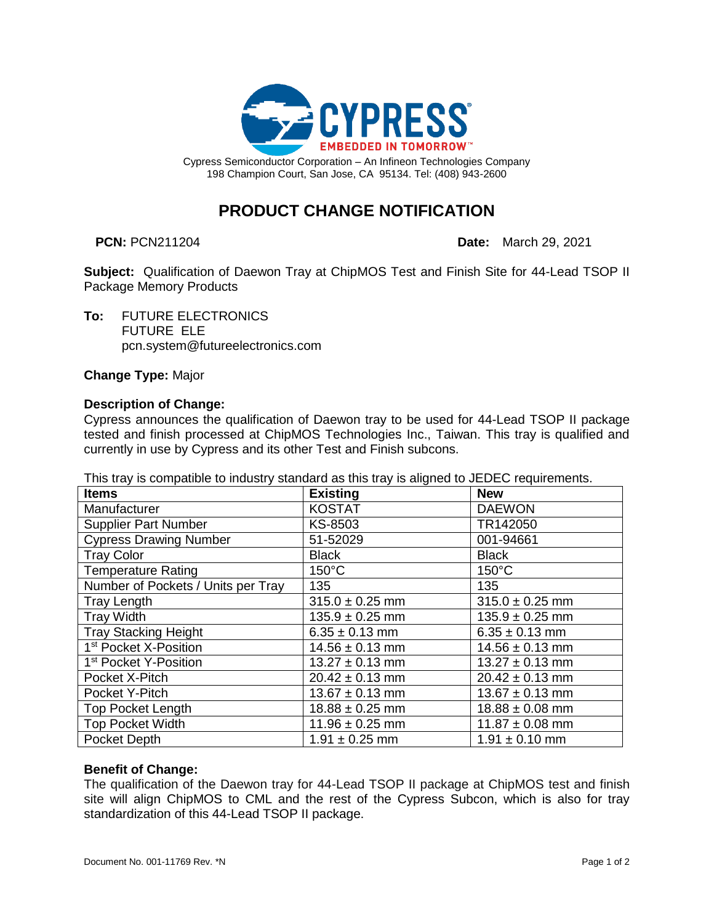

**PRODUCT CHANGE NOTIFICATION**

**PCN:** PCN211204 **Date:** March 29, 2021

**Subject:** Qualification of Daewon Tray at ChipMOS Test and Finish Site for 44-Lead TSOP II Package Memory Products

**To:** FUTURE ELECTRONICS FUTURE ELE pcn.system@futureelectronics.com

**Change Type:** Major

### **Description of Change:**

Cypress announces the qualification of Daewon tray to be used for 44-Lead TSOP II package tested and finish processed at ChipMOS Technologies Inc., Taiwan. This tray is qualified and currently in use by Cypress and its other Test and Finish subcons.

This tray is compatible to industry standard as this tray is aligned to JEDEC requirements.

| <b>Items</b>                       | <b>Existing</b>     | <b>New</b>          |
|------------------------------------|---------------------|---------------------|
| Manufacturer                       | <b>KOSTAT</b>       | <b>DAEWON</b>       |
| <b>Supplier Part Number</b>        | KS-8503             | TR142050            |
| <b>Cypress Drawing Number</b>      | 51-52029            | 001-94661           |
| <b>Tray Color</b>                  | <b>Black</b>        | <b>Black</b>        |
| <b>Temperature Rating</b>          | $150^{\circ}$ C     | $150^{\circ}$ C     |
| Number of Pockets / Units per Tray | 135                 | 135                 |
| <b>Tray Length</b>                 | $315.0 \pm 0.25$ mm | $315.0 \pm 0.25$ mm |
| <b>Tray Width</b>                  | $135.9 \pm 0.25$ mm | $135.9 \pm 0.25$ mm |
| <b>Tray Stacking Height</b>        | $6.35 \pm 0.13$ mm  | $6.35 \pm 0.13$ mm  |
| 1 <sup>st</sup> Pocket X-Position  | $14.56 \pm 0.13$ mm | $14.56 \pm 0.13$ mm |
| 1 <sup>st</sup> Pocket Y-Position  | $13.27 \pm 0.13$ mm | $13.27 \pm 0.13$ mm |
| Pocket X-Pitch                     | $20.42 \pm 0.13$ mm | $20.42 \pm 0.13$ mm |
| Pocket Y-Pitch                     | $13.67 \pm 0.13$ mm | $13.67 \pm 0.13$ mm |
| <b>Top Pocket Length</b>           | $18.88 \pm 0.25$ mm | $18.88 \pm 0.08$ mm |
| <b>Top Pocket Width</b>            | $11.96 \pm 0.25$ mm | $11.87 \pm 0.08$ mm |
| Pocket Depth                       | $1.91 \pm 0.25$ mm  | $1.91 \pm 0.10$ mm  |

### **Benefit of Change:**

The qualification of the Daewon tray for 44-Lead TSOP II package at ChipMOS test and finish site will align ChipMOS to CML and the rest of the Cypress Subcon, which is also for tray standardization of this 44-Lead TSOP II package.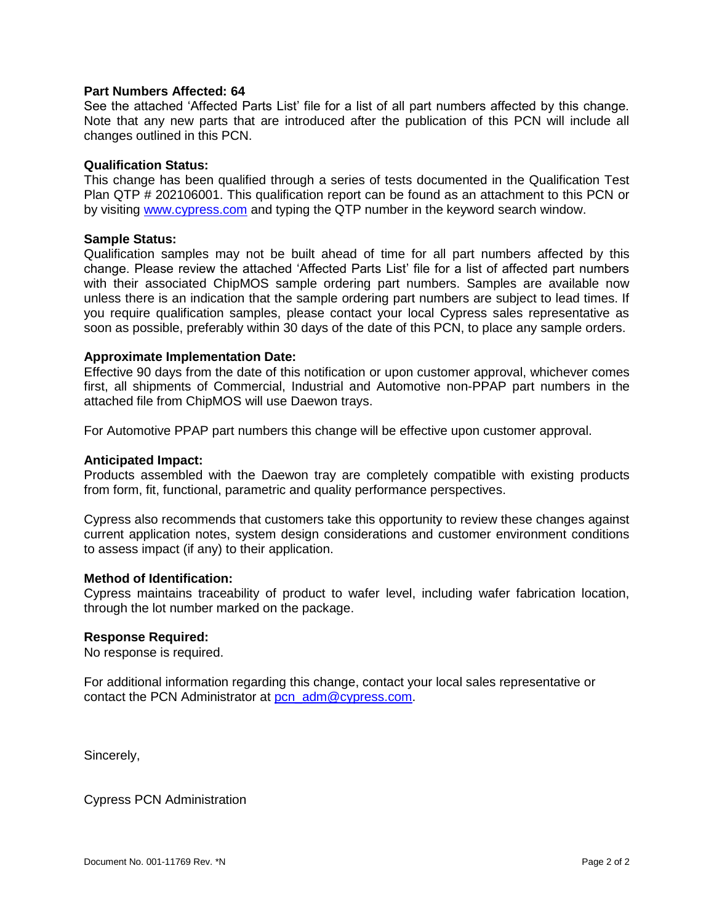### **Part Numbers Affected: 64**

See the attached 'Affected Parts List' file for a list of all part numbers affected by this change. Note that any new parts that are introduced after the publication of this PCN will include all changes outlined in this PCN.

### **Qualification Status:**

This change has been qualified through a series of tests documented in the Qualification Test Plan QTP # 202106001. This qualification report can be found as an attachment to this PCN or by visiting [www.cypress.com](http://www.cypress.com/) and typing the QTP number in the keyword search window.

### **Sample Status:**

Qualification samples may not be built ahead of time for all part numbers affected by this change. Please review the attached 'Affected Parts List' file for a list of affected part numbers with their associated ChipMOS sample ordering part numbers. Samples are available now unless there is an indication that the sample ordering part numbers are subject to lead times. If you require qualification samples, please contact your local Cypress sales representative as soon as possible, preferably within 30 days of the date of this PCN, to place any sample orders.

### **Approximate Implementation Date:**

Effective 90 days from the date of this notification or upon customer approval, whichever comes first, all shipments of Commercial, Industrial and Automotive non-PPAP part numbers in the attached file from ChipMOS will use Daewon trays.

For Automotive PPAP part numbers this change will be effective upon customer approval.

### **Anticipated Impact:**

Products assembled with the Daewon tray are completely compatible with existing products from form, fit, functional, parametric and quality performance perspectives.

Cypress also recommends that customers take this opportunity to review these changes against current application notes, system design considerations and customer environment conditions to assess impact (if any) to their application.

### **Method of Identification:**

Cypress maintains traceability of product to wafer level, including wafer fabrication location, through the lot number marked on the package.

#### **Response Required:**

No response is required.

For additional information regarding this change, contact your local sales representative or contact the PCN Administrator at [pcn\\_adm@cypress.com.](mailto:pcn_adm@cypress.com)

Sincerely,

Cypress PCN Administration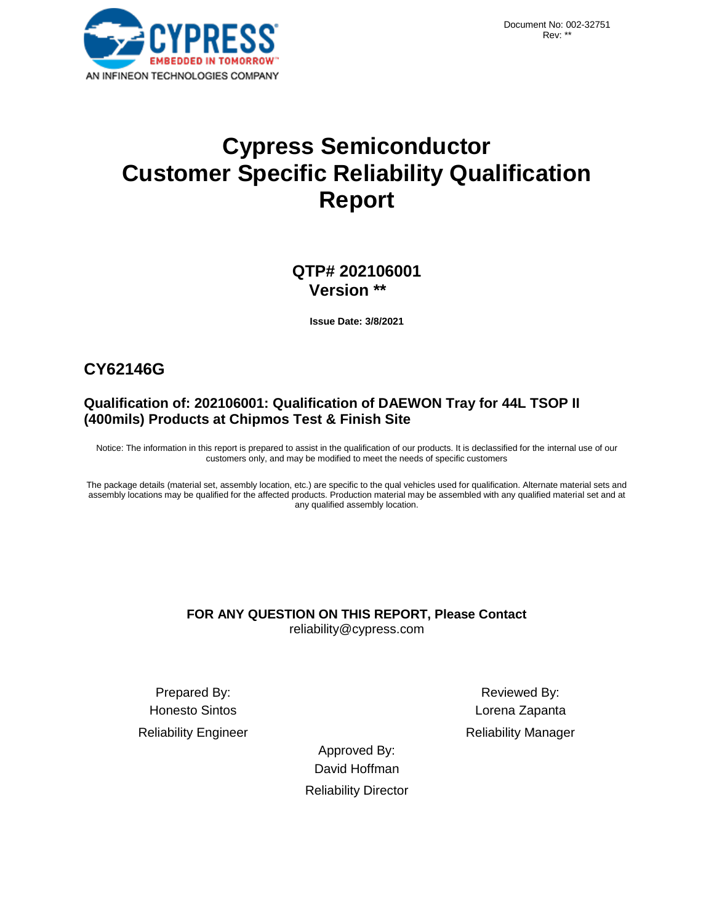# **Cypress Semiconductor Customer Specific Reliability Qualification Report**

### **QTP# 202106001 Version \*\***

**Issue Date: 3/8/2021** 

## **CY62146G**

### **Qualification of: 202106001: Qualification of DAEWON Tray for 44L TSOP II (400mils) Products at Chipmos Test & Finish Site**

Notice: The information in this report is prepared to assist in the qualification of our products. It is declassified for the internal use of our customers only, and may be modified to meet the needs of specific customers

The package details (material set, assembly location, etc.) are specific to the qual vehicles used for qualification. Alternate material sets and assembly locations may be qualified for the affected products. Production material may be assembled with any qualified material set and at any qualified assembly location.

### **FOR ANY QUESTION ON THIS REPORT, Please Contact** reliability@cypress.com

Prepared By: Reviewed By: Honesto Sintos Lorena Zapanta

Reliability Engineer **Reliability Manager** Reliability Manager

Approved By: David Hoffman Reliability Director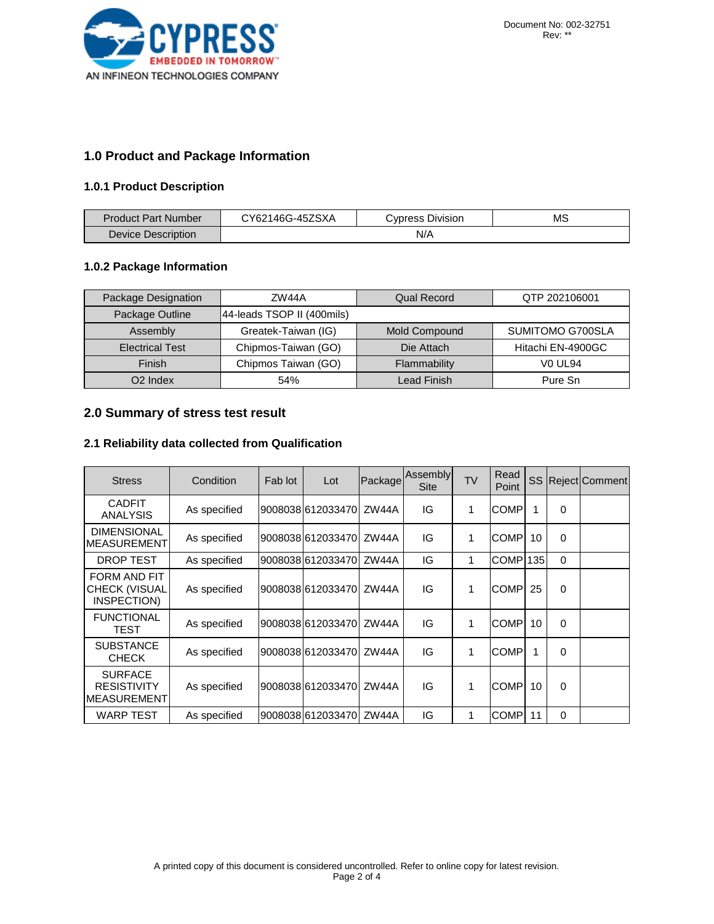

### **1.0 Product and Package Information**

### **1.0.1 Product Description**

| Product Part Number | CY62146G-45ZSXA | <b>Cypress Division</b> | MS |
|---------------------|-----------------|-------------------------|----|
| Device Description  |                 | N/A                     |    |

### **1.0.2 Package Information**

| Package Designation    | ZW44A                      | <b>Qual Record</b> | QTP 202106001     |
|------------------------|----------------------------|--------------------|-------------------|
| Package Outline        | 44-leads TSOP II (400mils) |                    |                   |
| Assembly               | Greatek-Taiwan (IG)        | Mold Compound      | SUMITOMO G700SLA  |
| <b>Electrical Test</b> | Chipmos-Taiwan (GO)        | Die Attach         | Hitachi EN-4900GC |
| Finish                 | Chipmos Taiwan (GO)        | Flammability       | <b>VO UL94</b>    |
| O <sub>2</sub> Index   | 54%                        | Lead Finish        | Pure Sn           |

### **2.0 Summary of stress test result**

### **2.1 Reliability data collected from Qualification**

| <b>Stress</b>                                         | Condition    | Fab lot | Lot                | Package | Assembly<br><b>Site</b> | <b>TV</b> | Read<br>Point | <b>SS</b> |          | Reject Comment |
|-------------------------------------------------------|--------------|---------|--------------------|---------|-------------------------|-----------|---------------|-----------|----------|----------------|
| <b>CADFIT</b><br>ANALYSIS                             | As specified |         | 900803816120334701 | ZW44A   | IG                      | 1         | COMP          |           | 0        |                |
| <b>DIMENSIONAL</b><br><b>IMEASUREMENT</b>             | As specified |         | 900803816120334701 | ZW44A   | IG                      | 1         | COMP          | 10        | $\Omega$ |                |
| DROP TEST                                             | As specified |         | 900803816120334701 | ZW44A   | IG                      | 1         | COMPI         | 135       | $\Omega$ |                |
| FORM AND FIT<br>CHECK (VISUAL<br>INSPECTION)          | As specified |         | 900803816120334701 | ZW44A   | IG                      | 1         | COMP          | 25        | $\Omega$ |                |
| <b>FUNCTIONAL</b><br>TEST                             | As specified |         | 900803816120334701 | ZW44A   | IG                      | 1         | COMP.         | 10        | $\Omega$ |                |
| <b>SUBSTANCE</b><br><b>CHECK</b>                      | As specified |         | 900803816120334701 | ZW44A   | IG                      | 1         | <b>COMP</b>   | 1         | 0        |                |
| <b>SURFACE</b><br><b>RESISTIVITY</b><br>IMEASUREMENTI | As specified |         | 900803816120334701 | ZW44A   | IG                      | 1         | <b>COMP</b>   | 10        | 0        |                |
| <b>WARP TEST</b>                                      | As specified |         | 9008038 612033470  | ZW44A   | IG                      | 1         | <b>COMP</b>   | 11        | $\Omega$ |                |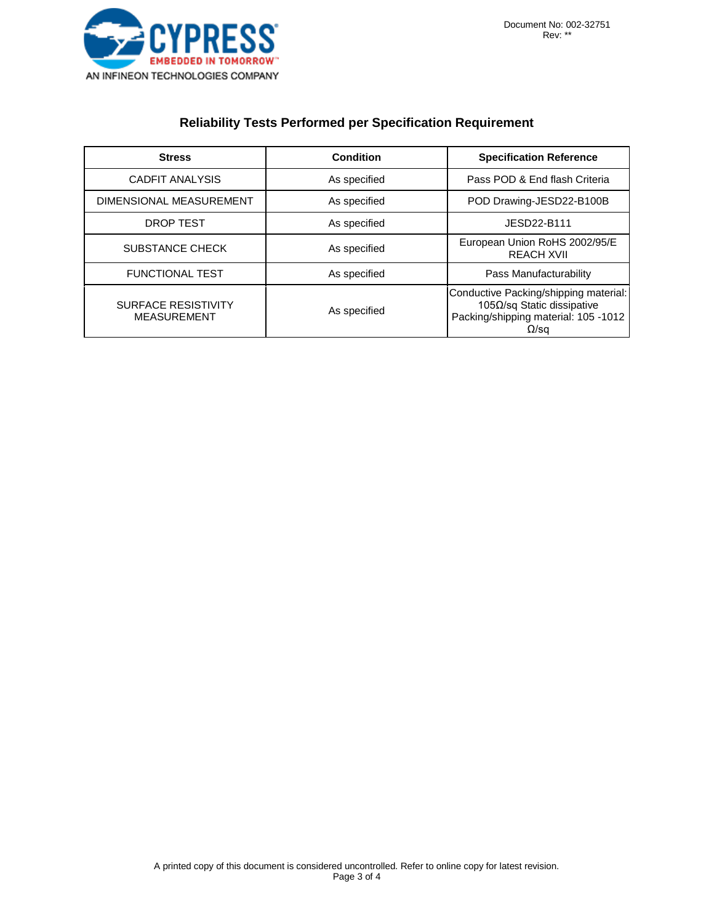

### **Reliability Tests Performed per Specification Requirement**

| <b>Stress</b>                                    | <b>Condition</b> | <b>Specification Reference</b>                                                                                              |
|--------------------------------------------------|------------------|-----------------------------------------------------------------------------------------------------------------------------|
| CADFIT ANALYSIS                                  | As specified     | Pass POD & End flash Criteria                                                                                               |
| DIMENSIONAL MEASUREMENT                          | As specified     | POD Drawing-JESD22-B100B                                                                                                    |
| DROP TEST                                        | As specified     | JESD22-B111                                                                                                                 |
| <b>SUBSTANCE CHECK</b>                           | As specified     | European Union RoHS 2002/95/E<br><b>REACH XVII</b>                                                                          |
| <b>FUNCTIONAL TEST</b>                           | As specified     | Pass Manufacturability                                                                                                      |
| <b>SURFACE RESISTIVITY</b><br><b>MEASUREMENT</b> | As specified     | Conductive Packing/shipping material:<br>105Ω/sq Static dissipative<br>Packing/shipping material: 105 -1012<br>$\Omega$ /sq |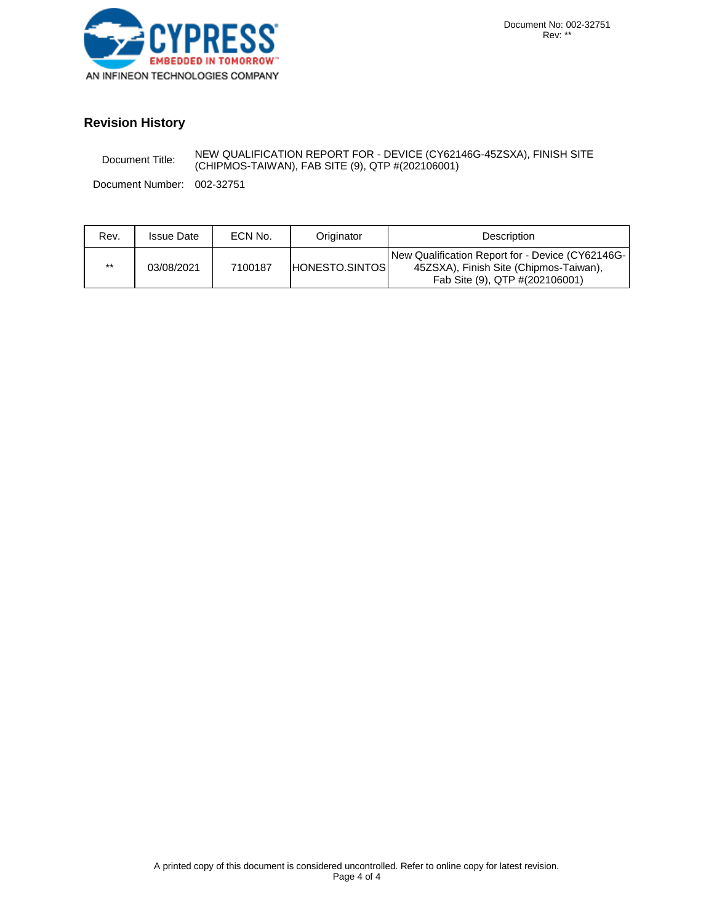

### **Revision History**

Document Title: NEW QUALIFICATION REPORT FOR - DEVICE (CY62146G-45ZSXA), FINISH SITE (CHIPMOS-TAIWAN), FAB SITE (9), QTP #(202106001)

Document Number: 002-32751

| Rev.  | <b>Issue Date</b> | ECN No. | Originator             | <b>Description</b>                                                                                                           |
|-------|-------------------|---------|------------------------|------------------------------------------------------------------------------------------------------------------------------|
| $***$ | 03/08/2021        | 7100187 | <b>HONESTO.SINTOSI</b> | New Qualification Report for - Device (CY62146G-<br>45ZSXA), Finish Site (Chipmos-Taiwan),<br>Fab Site (9), QTP #(202106001) |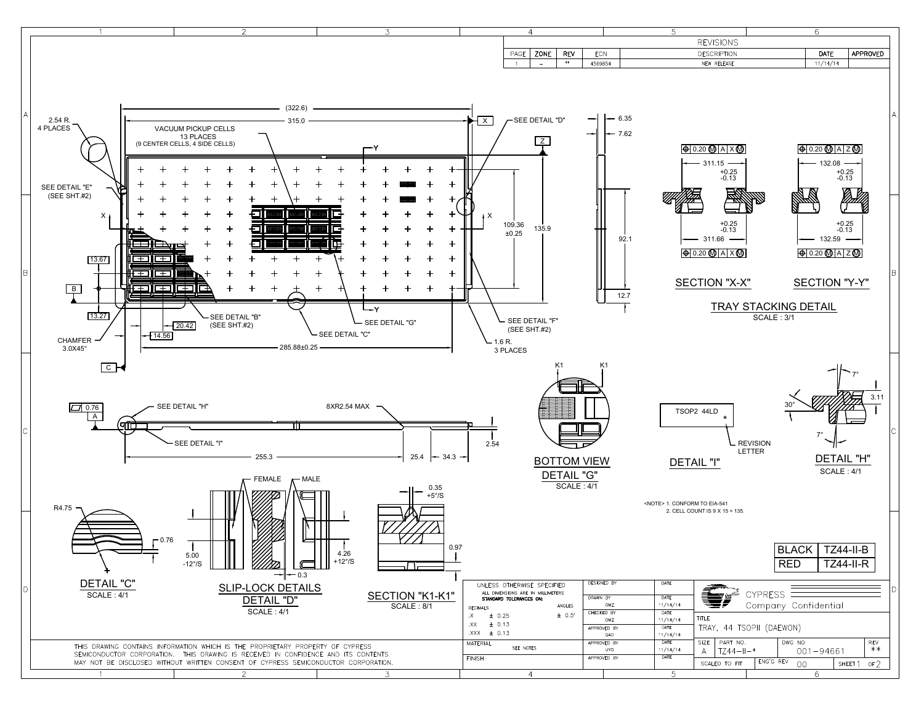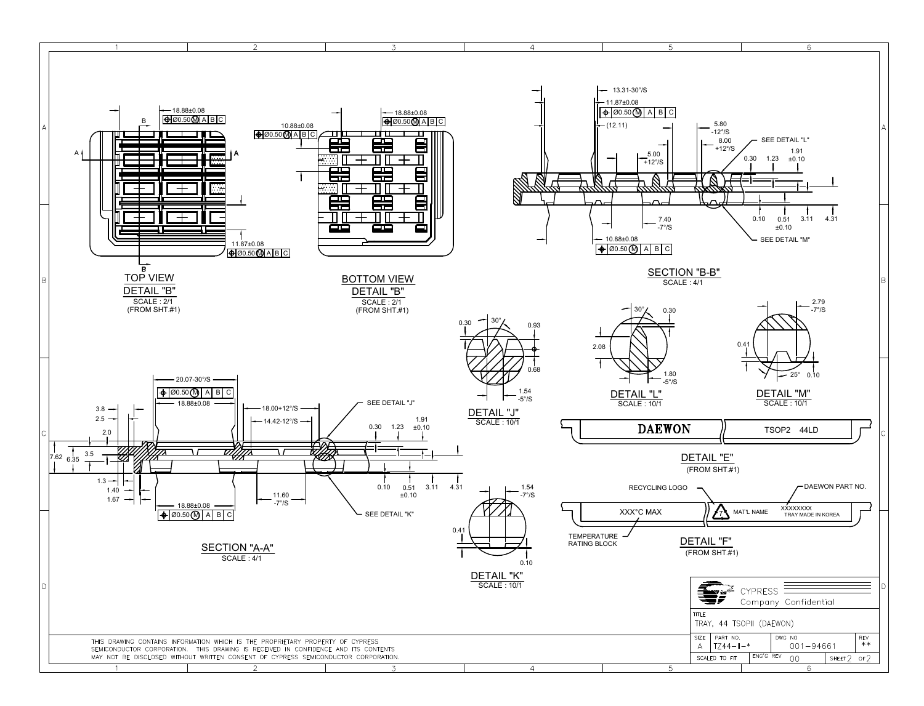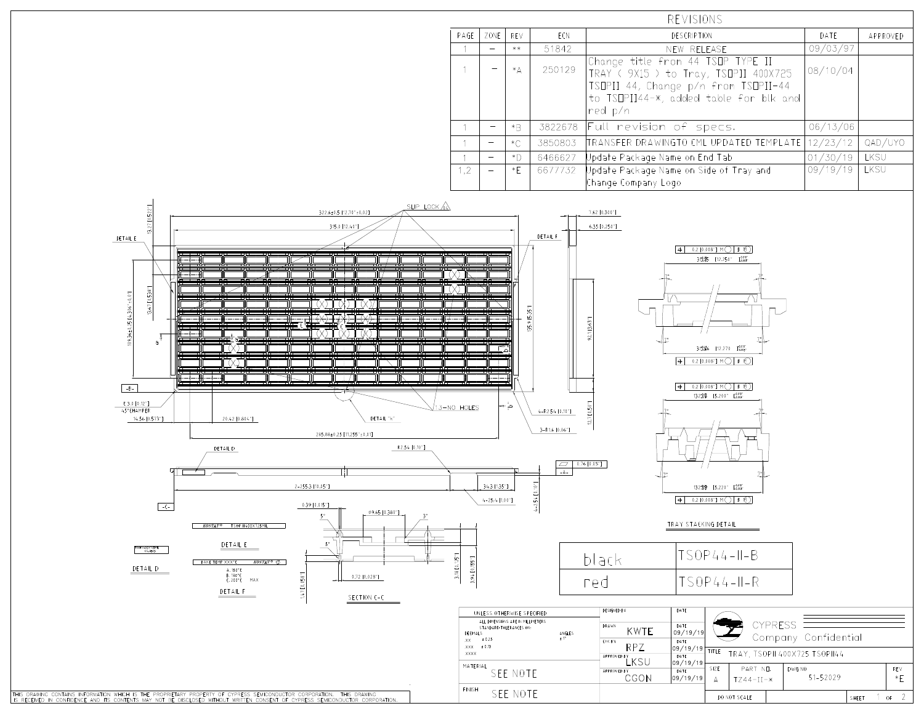| REVISIONS |      |         |         |                                                                                                                    |          |          |
|-----------|------|---------|---------|--------------------------------------------------------------------------------------------------------------------|----------|----------|
| PAGE      | ZONE | REV     | ECN     | <b>DESCRIPTION</b>                                                                                                 | DATE     | APPROVED |
|           |      | $***$   | 51842   | NEW RELEASE                                                                                                        | 09/03/97 |          |
|           |      | $*_{A}$ | 250129  | Change title from 44 TSOP TYPE II<br>TRAY ( 9X15 ) to Tray, TSOPII 400X725<br>TSOPII 44, Change p/n from TSOPII-44 | 08/10/04 |          |
|           |      |         |         | to TSOPII44-*, added table for blk and<br>red p/n                                                                  |          |          |
|           |      | $*B$    | 3822678 | Full revision of specs.                                                                                            | 06/13/06 |          |
|           |      | $*C$    | 3850803 | TRANSFER DRAWINGTO CML UPDATED TEMPLATE                                                                            | 12/23/12 | QAD/UYO  |
|           |      | *D.     | 6466627 | Update Package Name on End Tab                                                                                     | 01/30/19 | LKSU     |
| 1.2       |      | $*$ F   | 6677732 | Update Package Name on Side of Tray and<br>Change Company Logo                                                     | 09/19/19 | LKSU     |

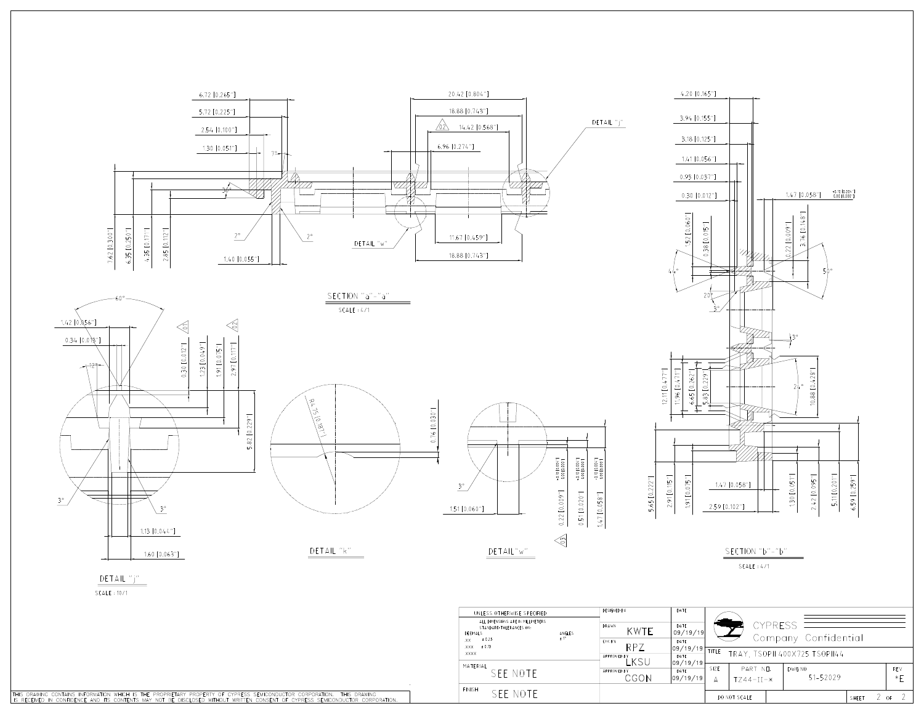

THIS DRAWING CONTAINS INFORMATION WHICH IS THE PROPRIETARY PROPERTY OF CYPRESS SEMICONDUCTOR CORPORATION. THIS DRAWING<br>IS RECEIVED IN CONFIDENCE AND ITS CONTENTS MAY NOT BE DISCLOSED WITHOUT WRITTEN CONSENT OF CYPRESS SEMI

FINISH SEE NOTE

 $2$  of

2

SHEET

DO NOT SCALE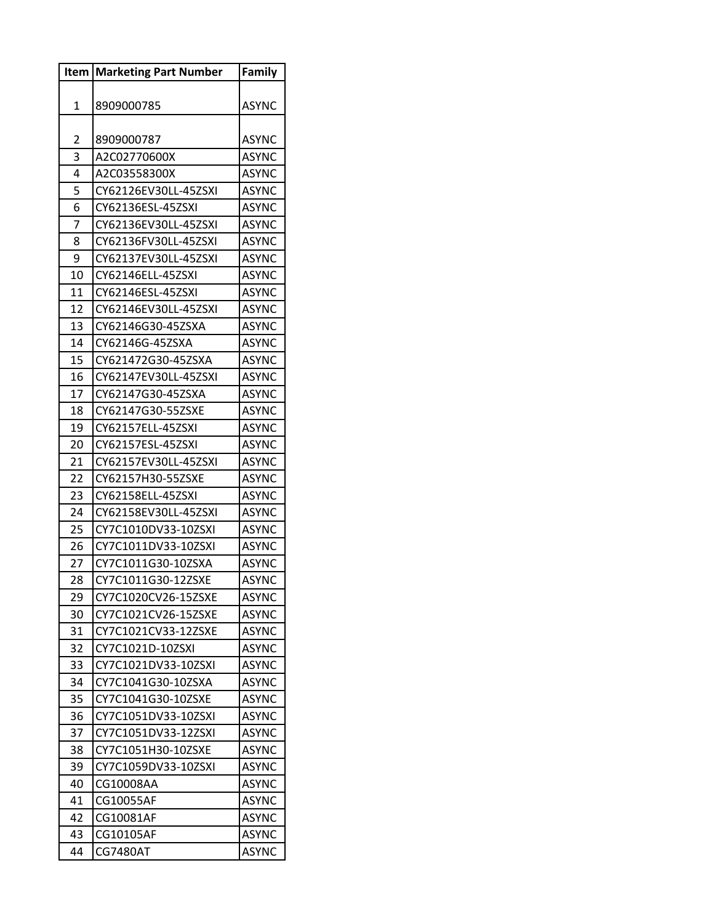|    | <b>Item   Marketing Part Number</b> | <b>Family</b> |
|----|-------------------------------------|---------------|
|    |                                     |               |
| 1  | 8909000785                          | <b>ASYNC</b>  |
|    |                                     |               |
| 2  | 8909000787                          | <b>ASYNC</b>  |
| 3  | A2C02770600X                        | ASYNC         |
| 4  | A2C03558300X                        | <b>ASYNC</b>  |
| 5  | CY62126EV30LL-45ZSXI                | <b>ASYNC</b>  |
| 6  | CY62136ESL-45ZSXI                   | <b>ASYNC</b>  |
| 7  | CY62136EV30LL-45ZSXI                | ASYNC         |
| 8  | CY62136FV30LL-45ZSXI                | ASYNC         |
| 9  | CY62137EV30LL-45ZSXI                | ASYNC         |
| 10 | CY62146ELL-45ZSXI                   | <b>ASYNC</b>  |
| 11 | CY62146ESL-45ZSXI                   | ASYNC         |
| 12 | CY62146EV30LL-45ZSXI                | <b>ASYNC</b>  |
| 13 | CY62146G30-45ZSXA                   | <b>ASYNC</b>  |
| 14 | CY62146G-45ZSXA                     | ASYNC         |
| 15 | CY621472G30-45ZSXA                  | <b>ASYNC</b>  |
| 16 | CY62147EV30LL-45ZSXI                | ASYNC         |
| 17 | CY62147G30-45ZSXA                   | <b>ASYNC</b>  |
| 18 | CY62147G30-55ZSXE                   | ASYNC         |
| 19 | CY62157ELL-45ZSXI                   | <b>ASYNC</b>  |
| 20 | CY62157ESL-45ZSXI                   | ASYNC         |
| 21 | CY62157EV30LL-45ZSXI                | ASYNC         |
| 22 | CY62157H30-55ZSXE                   | ASYNC         |
| 23 | CY62158ELL-45ZSXI                   | ASYNC         |
| 24 | CY62158EV30LL-45ZSXI                | ASYNC         |
| 25 | CY7C1010DV33-10ZSXI                 | ASYNC         |
| 26 | CY7C1011DV33-10ZSXI                 | ASYNC         |
| 27 | CY7C1011G30-10ZSXA                  | ASYNC         |
| 28 | CY7C1011G30-12ZSXE                  | <b>ASYNC</b>  |
| 29 | CY7C1020CV26-15ZSXE                 | <b>ASYNC</b>  |
| 30 | CY7C1021CV26-15ZSXE                 | ASYNC         |
| 31 | CY7C1021CV33-12ZSXE                 | <b>ASYNC</b>  |
| 32 | CY7C1021D-10ZSXI                    | <b>ASYNC</b>  |
| 33 | CY7C1021DV33-10ZSXI                 | ASYNC         |
| 34 | CY7C1041G30-10ZSXA                  | ASYNC         |
| 35 | CY7C1041G30-10ZSXE                  | <b>ASYNC</b>  |
| 36 | CY7C1051DV33-10ZSXI                 | ASYNC         |
| 37 | CY7C1051DV33-12ZSXI                 | <b>ASYNC</b>  |
| 38 | CY7C1051H30-10ZSXE                  | <b>ASYNC</b>  |
| 39 | CY7C1059DV33-10ZSXI                 | <b>ASYNC</b>  |
| 40 | CG10008AA                           | ASYNC         |
| 41 | CG10055AF                           | ASYNC         |
| 42 | CG10081AF                           | ASYNC         |
| 43 | CG10105AF                           | ASYNC         |
| 44 | <b>CG7480AT</b>                     | ASYNC         |